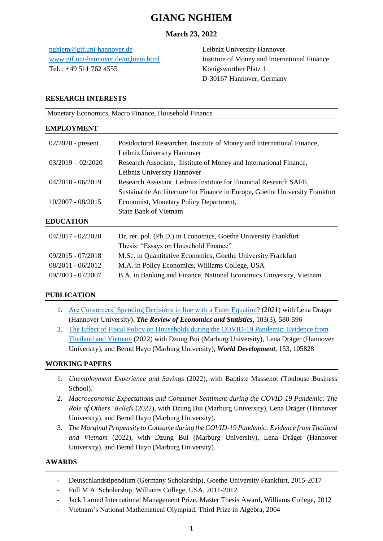# **GIANG NGHIEM**

## **March 23, 2022**

[nghiem@gif.uni-hannover.de](mailto:nghiem@gif.uni-hannover.de) [www.gif.uni-hannover.de/nghiem.html](http://www.gif.uni-hannover.de/nghiem.html) Tel. : +49 511 762 4555

Leibniz University Hannover Institute of Money and International Finance Königsworther Platz 1 D-30167 Hannover, Germany

#### **RESEARCH INTERESTS**

| Monetary Economics, Macro Finance, Household Finance<br><b>EMPLOYMENT</b> |                                                                             |  |
|---------------------------------------------------------------------------|-----------------------------------------------------------------------------|--|
|                                                                           |                                                                             |  |
|                                                                           | Leibniz University Hannover                                                 |  |
| $03/2019 - 02/2020$                                                       | Research Associate, Institute of Money and International Finance,           |  |
|                                                                           | Leibniz University Hannover                                                 |  |
| $04/2018 - 06/2019$                                                       | Research Assistant, Leibniz Institute for Financial Research SAFE,          |  |
|                                                                           | Sustainable Architecture for Finance in Europe, Goethe University Frankfurt |  |
| $10/2007 - 08/2015$                                                       | Economist, Monetary Policy Department,                                      |  |
|                                                                           | <b>State Bank of Vietnam</b>                                                |  |
| <b>EDUCATION</b>                                                          |                                                                             |  |
| $04/2017 - 02/2020$                                                       | Dr. rer. pol. (Ph.D.) in Economics, Goethe University Frankfurt             |  |

| $04/2017 - 02/2020$ | Dr. rer. pol. (Ph.D.) in Economics, Goethe University Frankfurt     |
|---------------------|---------------------------------------------------------------------|
|                     | Thesis: "Essays on Household Finance"                               |
| 09/2015 - 07/2018   | M.Sc. in Quantitative Economics, Goethe University Frankfurt        |
| 08/2011 - 06/2012   | M.A. in Policy Economics, Williams College, USA                     |
| 09/2003 - 07/2007   | B.A. in Banking and Finance, National Economics University, Vietnam |

## **PUBLICATION**

- 1. [Are Consumers' Spending Decisions in line with a](https://direct.mit.edu/rest/article/doi/10.1162/rest_a_00909/97672/Are-Consumers-Spending-Decisions-in-Line-With-a) Euler Equation? (2021) with Lena Dräger (Hannover University). *The Review of Economics and Statistics*, 103(3), 580-596
- 2. [The Effect of Fiscal Policy on Households during the COVID-19 Pandemic: Evidence from](https://www.sciencedirect.com/science/article/pii/S0305750X22000183?via%3Dihub)  [Thailand and Vietnam](https://www.sciencedirect.com/science/article/pii/S0305750X22000183?via%3Dihub) (2022) with Dzung Bui (Marburg University), Lena Dräger (Hannover University), and Bernd Hayo (Marburg University), *World Development*, 153, 105828

#### **WORKING PAPERS**

- 1. *Unemployment Experience and Savings* (2022), with Baptiste Massenot (Toulouse Business School).
- 2. *Macroeconomic Expectations and Consumer Sentiment during the COVID-19 Pandemic: The Role of Others' Beliefs* (2022), with Dzung Bui (Marburg University), Lena Dräger (Hannover University), and Bernd Hayo (Marburg University).
- 3. *The Marginal Propensity to Consume during the COVID-19 Pandemic: Evidence from Thailand and Vietnam* (2022), with Dzung Bui (Marburg University), Lena Dräger (Hannover University), and Bernd Hayo (Marburg University).

## **AWARDS**

- Deutschlandstipendium (Germany Scholarship), Goethe University Frankfurt, 2015-2017
- Full M.A. Scholarship, Williams College, USA, 2011-2012
- Jack Larned International Management Prize, Master Thesis Award, Williams College, 2012
- Vietnam's National Mathematical Olympiad, Third Prize in Algebra, 2004